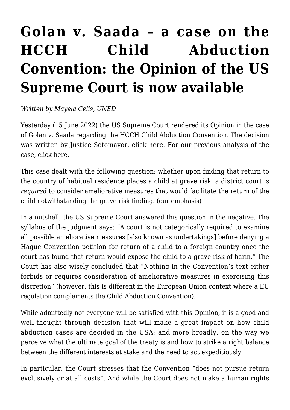## **[Golan v. Saada – a case on the](https://conflictoflaws.net/2022/golan-v-saada-a-case-on-the-hcch-child-abduction-convention-the-opinion-of-the-us-supreme-court-is-now-available/) [HCCH Child Abduction](https://conflictoflaws.net/2022/golan-v-saada-a-case-on-the-hcch-child-abduction-convention-the-opinion-of-the-us-supreme-court-is-now-available/) [Convention: the Opinion of the US](https://conflictoflaws.net/2022/golan-v-saada-a-case-on-the-hcch-child-abduction-convention-the-opinion-of-the-us-supreme-court-is-now-available/) [Supreme Court is now available](https://conflictoflaws.net/2022/golan-v-saada-a-case-on-the-hcch-child-abduction-convention-the-opinion-of-the-us-supreme-court-is-now-available/)**

*Written by Mayela Celis, UNED*

Yesterday (15 June 2022) the US Supreme Court rendered its Opinion in the case of Golan v. Saada regarding the HCCH Child Abduction Convention. The decision was written by Justice Sotomayor, click [here](https://www.supremecourt.gov/opinions/21pdf/20-1034_b8dg.pdf). For our previous analysis of the case, click [here](https://conflictoflaws.net/2022/a-few-thoughts-on-golan-v-saada-this-week-at-the-us-supreme-court/).

This case dealt with the following question: whether upon finding that return to the country of habitual residence places a child at grave risk, a district court is *required* to consider ameliorative measures that would facilitate the return of the child notwithstanding the grave risk finding. (our emphasis)

In a nutshell, the US Supreme Court answered this question in the negative. The syllabus of the judgment says: "A court is not categorically required to examine all possible ameliorative measures [also known as undertakings] before denying a Hague Convention petition for return of a child to a foreign country once the court has found that return would expose the child to a grave risk of harm." The Court has also wisely concluded that "Nothing in the Convention's text either forbids or requires consideration of ameliorative measures in exercising this discretion" (however, this is different in the European Union context where a EU regulation complements the Child Abduction Convention).

While admittedly not everyone will be satisfied with this Opinion, it is a good and well-thought through decision that will make a great impact on how child abduction cases are decided in the USA; and more broadly, on the way we perceive what the ultimate goal of the treaty is and how to strike a right balance between the different interests at stake and the need to act expeditiously.

In particular, the Court stresses that the Convention "does not pursue return exclusively or at all costs". And while the Court does not make a human rights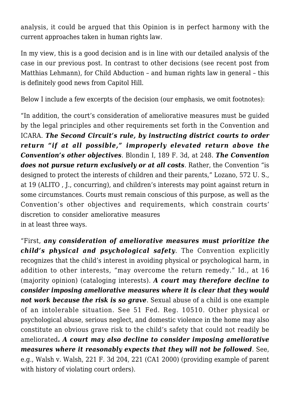analysis, it could be argued that this Opinion is in perfect harmony with the current approaches taken in human rights law.

In my view, this is a good decision and is in line with our detailed analysis of the case in our [previous post.](https://conflictoflaws.net/2022/a-few-thoughts-on-golan-v-saada-this-week-at-the-us-supreme-court/) In contrast to other decisions (see [recent post](https://conflictoflaws.net/2022/u-s-supreme-court-restricts-discovery-assistance-to-international-arbitral-tribunals/) from Matthias Lehmann), for Child Abduction – and human rights law in general – this is definitely good news from Capitol Hill.

Below I include a few excerpts of the decision (our emphasis, we omit footnotes):

"In addition, the court's consideration of ameliorative measures must be guided by the legal principles and other requirements set forth in the Convention and ICARA. *The Second Circuit's rule, by instructing district courts to order return "if at all possible," improperly elevated return above the Convention's other objectives*. Blondin I, 189 F. 3d, at 248. *The Convention does not pursue return exclusively or at all costs*. Rather, the Convention "is designed to protect the interests of children and their parents," Lozano, 572 U. S., at 19 (ALITO , J., concurring), and children's interests may point against return in some circumstances. Courts must remain conscious of this purpose, as well as the Convention's other objectives and requirements, which constrain courts' discretion to consider ameliorative measures in at least three ways.

"First, *any consideration of ameliorative measures must prioritize the child's physical and psychological safety*. The Convention explicitly recognizes that the child's interest in avoiding physical or psychological harm, in addition to other interests, "may overcome the return remedy." Id., at 16 (majority opinion) (cataloging interests). *A court may therefore decline to consider imposing ameliorative measures where it is clear that they would not work because the risk is so grave*. Sexual abuse of a child is one example of an intolerable situation. See 51 Fed. Reg. 10510. Other physical or psychological abuse, serious neglect, and domestic violence in the home may also constitute an obvious grave risk to the child's safety that could not readily be ameliorated*. A court may also decline to consider imposing ameliorative measures where it reasonably expects that they will not be followed*. See, e.g., Walsh v. Walsh, 221 F. 3d 204, 221 (CA1 2000) (providing example of parent with history of violating court orders).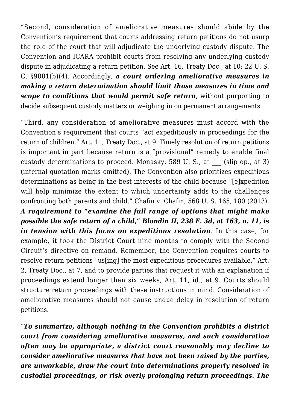"Second, consideration of ameliorative measures should abide by the Convention's requirement that courts addressing return petitions do not usurp the role of the court that will adjudicate the underlying custody dispute. The Convention and ICARA prohibit courts from resolving any underlying custody dispute in adjudicating a return petition. See Art. 16, Treaty Doc., at 10; 22 U. S. C. §9001(b)(4). Accordingly, *a court ordering ameliorative measures in making a return determination should limit those measures in time and scope to conditions that would permit safe return*, without purporting to decide subsequent custody matters or weighing in on permanent arrangements.

"Third, any consideration of ameliorative measures must accord with the Convention's requirement that courts "act expeditiously in proceedings for the return of children." Art. 11, Treaty Doc., at 9. Timely resolution of return petitions is important in part because return is a "provisional" remedy to enable final custody determinations to proceed. Monasky, 589 U.S., at (slip op., at 3) (internal quotation marks omitted). The Convention also prioritizes expeditious determinations as being in the best interests of the child because "[e]xpedition will help minimize the extent to which uncertainty adds to the challenges confronting both parents and child." Chafin v. Chafin, 568 U. S. 165, 180 (2013). *A requirement to "examine the full range of options that might make possible the safe return of a child," Blondin II, 238 F. 3d, at 163, n. 11, is in tension with this focus on expeditious resolution*. In this case, for example, it took the District Court nine months to comply with the Second Circuit's directive on remand. Remember, the Convention requires courts to resolve return petitions "us[ing] the most expeditious procedures available," Art. 2, Treaty Doc., at 7, and to provide parties that request it with an explanation if proceedings extend longer than six weeks, Art. 11, id., at 9. Courts should structure return proceedings with these instructions in mind. Consideration of ameliorative measures should not cause undue delay in resolution of return petitions.

"*To summarize, although nothing in the Convention prohibits a district court from considering ameliorative measures, and such consideration often may be appropriate, a district court reasonably may decline to consider ameliorative measures that have not been raised by the parties, are unworkable, draw the court into determinations properly resolved in custodial proceedings, or risk overly prolonging return proceedings. The*